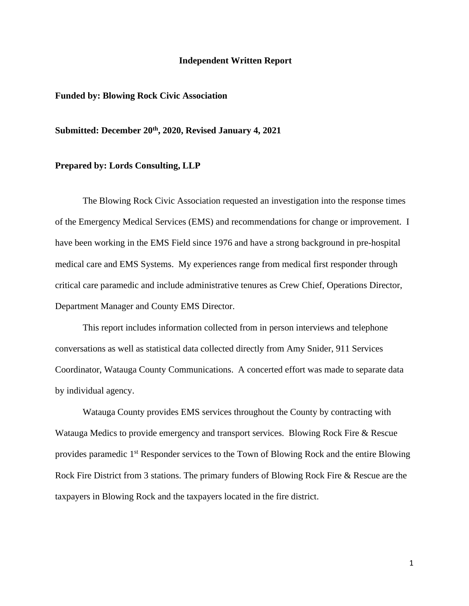#### **Independent Written Report**

#### **Funded by: Blowing Rock Civic Association**

#### **Submitted: December 20th, 2020, Revised January 4, 2021**

#### **Prepared by: Lords Consulting, LLP**

The Blowing Rock Civic Association requested an investigation into the response times of the Emergency Medical Services (EMS) and recommendations for change or improvement. I have been working in the EMS Field since 1976 and have a strong background in pre-hospital medical care and EMS Systems. My experiences range from medical first responder through critical care paramedic and include administrative tenures as Crew Chief, Operations Director, Department Manager and County EMS Director.

This report includes information collected from in person interviews and telephone conversations as well as statistical data collected directly from Amy Snider, 911 Services Coordinator, Watauga County Communications. A concerted effort was made to separate data by individual agency.

Watauga County provides EMS services throughout the County by contracting with Watauga Medics to provide emergency and transport services. Blowing Rock Fire & Rescue provides paramedic 1<sup>st</sup> Responder services to the Town of Blowing Rock and the entire Blowing Rock Fire District from 3 stations. The primary funders of Blowing Rock Fire & Rescue are the taxpayers in Blowing Rock and the taxpayers located in the fire district.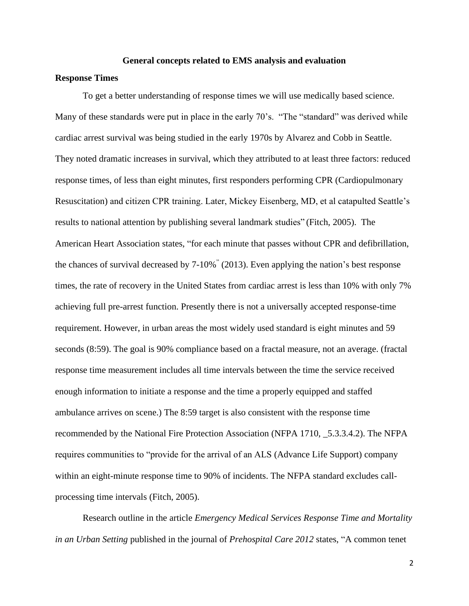#### **General concepts related to EMS analysis and evaluation**

## **Response Times**

To get a better understanding of response times we will use medically based science. Many of these standards were put in place in the early 70's. "The "standard" was derived while cardiac arrest survival was being studied in the early 1970s by Alvarez and Cobb in Seattle. They noted dramatic increases in survival, which they attributed to at least three factors: reduced response times, of less than eight minutes, first responders performing CPR (Cardiopulmonary Resuscitation) and citizen CPR training. Later, Mickey Eisenberg, MD, et al catapulted Seattle's results to national attention by publishing several landmark studies" (Fitch, 2005). The American Heart Association states, "for each minute that passes without CPR and defibrillation, the chances of survival decreased by 7-10%" (2013). Even applying the nation's best response times, the rate of recovery in the United States from cardiac arrest is less than 10% with only 7% achieving full pre-arrest function. Presently there is not a universally accepted response-time requirement. However, in urban areas the most widely used standard is eight minutes and 59 seconds (8:59). The goal is 90% compliance based on a fractal measure, not an average. (fractal response time measurement includes all time intervals between the time the service received enough information to initiate a response and the time a properly equipped and staffed ambulance arrives on scene.) The 8:59 target is also consistent with the response time recommended by the National Fire Protection Association (NFPA 1710, \_5.3.3.4.2). The NFPA requires communities to "provide for the arrival of an ALS (Advance Life Support) company within an eight-minute response time to 90% of incidents. The NFPA standard excludes callprocessing time intervals (Fitch, 2005).

Research outline in the article *Emergency Medical Services Response Time and Mortality in an Urban Setting* published in the journal of *Prehospital Care 2012* states, "A common tenet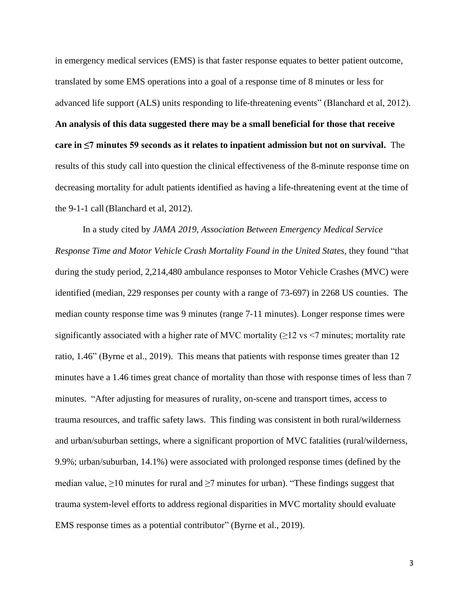in emergency medical services (EMS) is that faster response equates to better patient outcome, translated by some EMS operations into a goal of a response time of 8 minutes or less for advanced life support (ALS) units responding to life-threatening events" (Blanchard et al, 2012). **An analysis of this data suggested there may be a small beneficial for those that receive care in ≤7 minutes 59 seconds as it relates to inpatient admission but not on survival.** The results of this study call into question the clinical effectiveness of the 8-minute response time on decreasing mortality for adult patients identified as having a life-threatening event at the time of the 9-1-1 call (Blanchard et al, 2012).

In a study cited by *JAMA 2019, Association Between Emergency Medical Service Response Time and Motor Vehicle Crash Mortality Found in the United States,* they found "that during the study period, 2,214,480 ambulance responses to Motor Vehicle Crashes (MVC) were identified (median, 229 responses per county with a range of 73-697) in 2268 US counties. The median county response time was 9 minutes (range 7-11 minutes). Longer response times were significantly associated with a higher rate of MVC mortality  $(\geq)$  is  $\leq$  minutes; mortality rate ratio, 1.46" (Byrne et al., 2019). This means that patients with response times greater than 12 minutes have a 1.46 times great chance of mortality than those with response times of less than 7 minutes. "After adjusting for measures of rurality, on-scene and transport times, access to trauma resources, and traffic safety laws. This finding was consistent in both rural/wilderness and urban/suburban settings, where a significant proportion of MVC fatalities (rural/wilderness, 9.9%; urban/suburban, 14.1%) were associated with prolonged response times (defined by the median value,  $\geq 10$  minutes for rural and  $\geq 7$  minutes for urban). "These findings suggest that trauma system-level efforts to address regional disparities in MVC mortality should evaluate EMS response times as a potential contributor" (Byrne et al., 2019).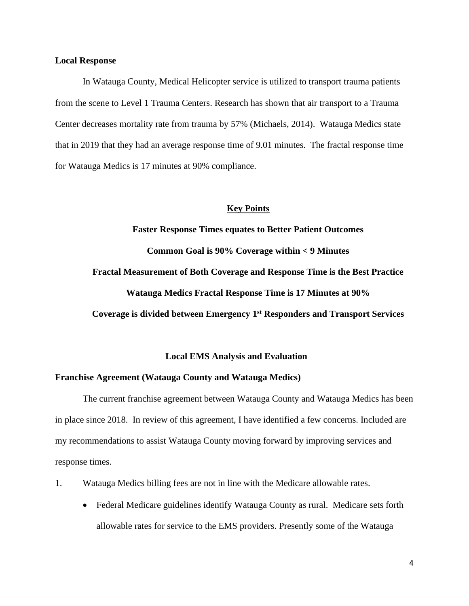#### **Local Response**

In Watauga County, Medical Helicopter service is utilized to transport trauma patients from the scene to Level 1 Trauma Centers. Research has shown that air transport to a Trauma Center decreases mortality rate from trauma by 57% (Michaels, 2014). Watauga Medics state that in 2019 that they had an average response time of 9.01 minutes. The fractal response time for Watauga Medics is 17 minutes at 90% compliance.

#### **Key Points**

**Faster Response Times equates to Better Patient Outcomes Common Goal is 90% Coverage within < 9 Minutes Fractal Measurement of Both Coverage and Response Time is the Best Practice Watauga Medics Fractal Response Time is 17 Minutes at 90% Coverage is divided between Emergency 1 st Responders and Transport Services**

#### **Local EMS Analysis and Evaluation**

#### **Franchise Agreement (Watauga County and Watauga Medics)**

The current franchise agreement between Watauga County and Watauga Medics has been in place since 2018. In review of this agreement, I have identified a few concerns. Included are my recommendations to assist Watauga County moving forward by improving services and response times.

- 1. Watauga Medics billing fees are not in line with the Medicare allowable rates.
	- Federal Medicare guidelines identify Watauga County as rural. Medicare sets forth allowable rates for service to the EMS providers. Presently some of the Watauga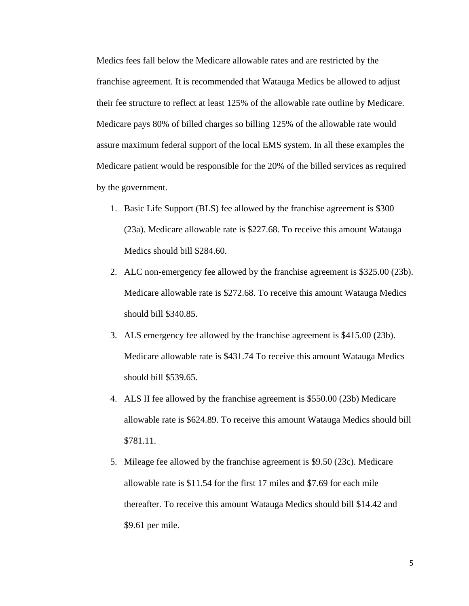Medics fees fall below the Medicare allowable rates and are restricted by the franchise agreement. It is recommended that Watauga Medics be allowed to adjust their fee structure to reflect at least 125% of the allowable rate outline by Medicare. Medicare pays 80% of billed charges so billing 125% of the allowable rate would assure maximum federal support of the local EMS system. In all these examples the Medicare patient would be responsible for the 20% of the billed services as required by the government.

- 1. Basic Life Support (BLS) fee allowed by the franchise agreement is \$300 (23a). Medicare allowable rate is \$227.68. To receive this amount Watauga Medics should bill \$284.60.
- 2. ALC non-emergency fee allowed by the franchise agreement is \$325.00 (23b). Medicare allowable rate is \$272.68. To receive this amount Watauga Medics should bill \$340.85.
- 3. ALS emergency fee allowed by the franchise agreement is \$415.00 (23b). Medicare allowable rate is \$431.74 To receive this amount Watauga Medics should bill \$539.65.
- 4. ALS II fee allowed by the franchise agreement is \$550.00 (23b) Medicare allowable rate is \$624.89. To receive this amount Watauga Medics should bill \$781.11.
- 5. Mileage fee allowed by the franchise agreement is \$9.50 (23c). Medicare allowable rate is \$11.54 for the first 17 miles and \$7.69 for each mile thereafter. To receive this amount Watauga Medics should bill \$14.42 and \$9.61 per mile.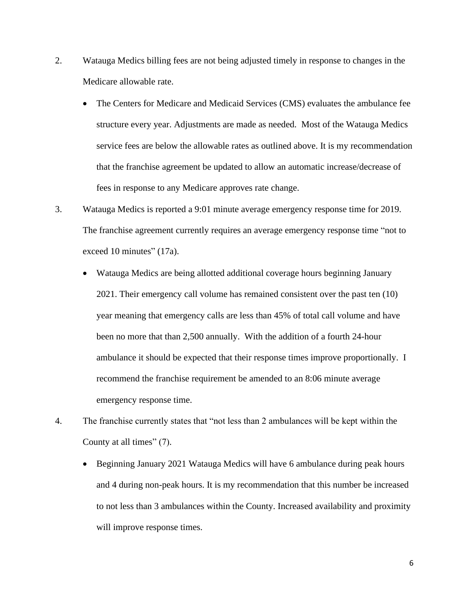- 2. Watauga Medics billing fees are not being adjusted timely in response to changes in the Medicare allowable rate.
	- The Centers for Medicare and Medicaid Services (CMS) evaluates the ambulance fee structure every year. Adjustments are made as needed. Most of the Watauga Medics service fees are below the allowable rates as outlined above. It is my recommendation that the franchise agreement be updated to allow an automatic increase/decrease of fees in response to any Medicare approves rate change.
- 3. Watauga Medics is reported a 9:01 minute average emergency response time for 2019. The franchise agreement currently requires an average emergency response time "not to exceed 10 minutes" (17a).
	- Watauga Medics are being allotted additional coverage hours beginning January 2021. Their emergency call volume has remained consistent over the past ten (10) year meaning that emergency calls are less than 45% of total call volume and have been no more that than 2,500 annually. With the addition of a fourth 24-hour ambulance it should be expected that their response times improve proportionally. I recommend the franchise requirement be amended to an 8:06 minute average emergency response time.
- 4. The franchise currently states that "not less than 2 ambulances will be kept within the County at all times" (7).
	- Beginning January 2021 Watauga Medics will have 6 ambulance during peak hours and 4 during non-peak hours. It is my recommendation that this number be increased to not less than 3 ambulances within the County. Increased availability and proximity will improve response times.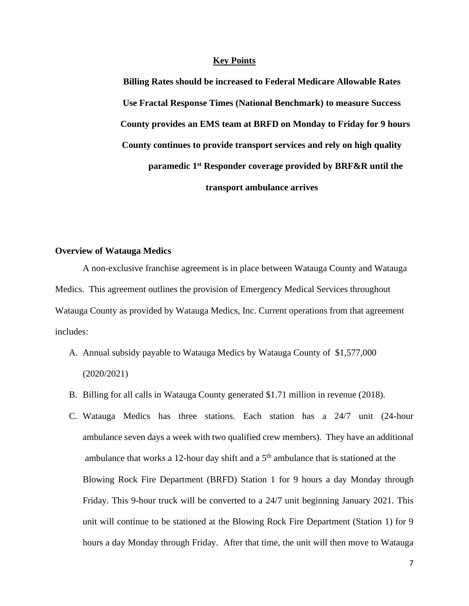**Billing Rates should be increased to Federal Medicare Allowable Rates Use Fractal Response Times (National Benchmark) to measure Success County provides an EMS team at BRFD on Monday to Friday for 9 hours County continues to provide transport services and rely on high quality paramedic 1st Responder coverage provided by BRF&R until the transport ambulance arrives**

#### **Overview of Watauga Medics**

A non-exclusive franchise agreement is in place between Watauga County and Watauga Medics. This agreement outlines the provision of Emergency Medical Services throughout Watauga County as provided by Watauga Medics, Inc. Current operations from that agreement includes:

- A. Annual subsidy payable to Watauga Medics by Watauga County of \$1,577,000 (2020/2021)
- B. Billing for all calls in Watauga County generated \$1.71 million in revenue (2018).
- C. Watauga Medics has three stations. Each station has a 24/7 unit (24-hour ambulance seven days a week with two qualified crew members). They have an additional ambulance that works a 12-hour day shift and a  $5<sup>th</sup>$  ambulance that is stationed at the Blowing Rock Fire Department (BRFD) Station 1 for 9 hours a day Monday through Friday. This 9-hour truck will be converted to a 24/7 unit beginning January 2021. This unit will continue to be stationed at the Blowing Rock Fire Department (Station 1) for 9 hours a day Monday through Friday. After that time, the unit will then move to Watauga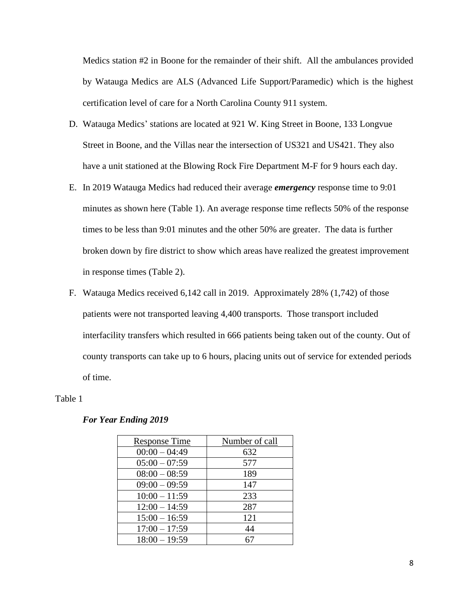Medics station #2 in Boone for the remainder of their shift. All the ambulances provided by Watauga Medics are ALS (Advanced Life Support/Paramedic) which is the highest certification level of care for a North Carolina County 911 system.

- D. Watauga Medics' stations are located at 921 W. King Street in Boone, 133 Longvue Street in Boone, and the Villas near the intersection of US321 and US421. They also have a unit stationed at the Blowing Rock Fire Department M-F for 9 hours each day.
- E. In 2019 Watauga Medics had reduced their average *emergency* response time to 9:01 minutes as shown here (Table 1). An average response time reflects 50% of the response times to be less than 9:01 minutes and the other 50% are greater. The data is further broken down by fire district to show which areas have realized the greatest improvement in response times (Table 2).
- F. Watauga Medics received 6,142 call in 2019. Approximately 28% (1,742) of those patients were not transported leaving 4,400 transports. Those transport included interfacility transfers which resulted in 666 patients being taken out of the county. Out of county transports can take up to 6 hours, placing units out of service for extended periods of time.

#### Table 1

#### *For Year Ending 2019*

| <b>Response Time</b> | Number of call |
|----------------------|----------------|
| $00:00 - 04:49$      | 632            |
| $05:00 - 07:59$      | 577            |
| $08:00 - 08:59$      | 189            |
| $09:00 - 09:59$      | 147            |
| $10:00 - 11:59$      | 233            |
| $12:00 - 14:59$      | 287            |
| $15:00 - 16:59$      | 121            |
| $17:00 - 17:59$      | 44             |
| $18:00 - 19:59$      |                |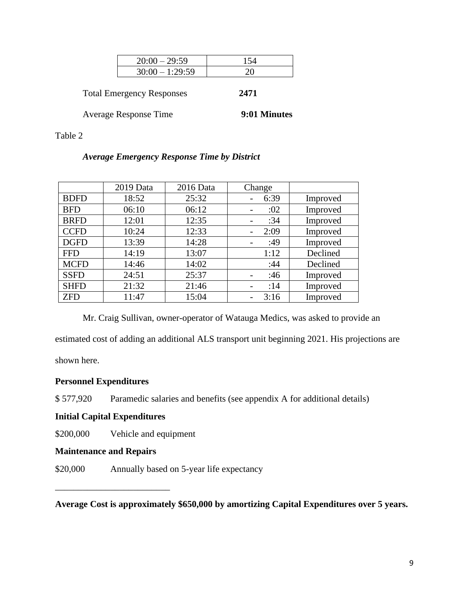| $20:00 - 29:59$   |  |
|-------------------|--|
| $30:00 - 1:29:59$ |  |

Total Emergency Responses **2471**

Average Response Time **9:01 Minutes**

Table 2

## *Average Emergency Response Time by District*

|             | 2019 Data | 2016 Data | Change |          |
|-------------|-----------|-----------|--------|----------|
| <b>BDFD</b> | 18:52     | 25:32     | 6:39   | Improved |
| <b>BFD</b>  | 06:10     | 06:12     | :02    | Improved |
| <b>BRFD</b> | 12:01     | 12:35     | :34    | Improved |
| <b>CCFD</b> | 10:24     | 12:33     | 2:09   | Improved |
| <b>DGFD</b> | 13:39     | 14:28     | :49    | Improved |
| <b>FFD</b>  | 14:19     | 13:07     | 1:12   | Declined |
| <b>MCFD</b> | 14:46     | 14:02     | :44    | Declined |
| <b>SSFD</b> | 24:51     | 25:37     | :46    | Improved |
| <b>SHFD</b> | 21:32     | 21:46     | :14    | Improved |
| <b>ZFD</b>  | 11:47     | 15:04     | 3:16   | Improved |

Mr. Craig Sullivan, owner-operator of Watauga Medics, was asked to provide an estimated cost of adding an additional ALS transport unit beginning 2021. His projections are shown here.

## **Personnel Expenditures**

\$ 577,920 Paramedic salaries and benefits (see appendix A for additional details)

## **Initial Capital Expenditures**

\$200,000 Vehicle and equipment

## **Maintenance and Repairs**

\_\_\_\_\_\_\_\_\_\_\_\_\_\_\_\_\_\_\_\_\_\_\_\_\_

\$20,000 Annually based on 5-year life expectancy

**Average Cost is approximately \$650,000 by amortizing Capital Expenditures over 5 years.**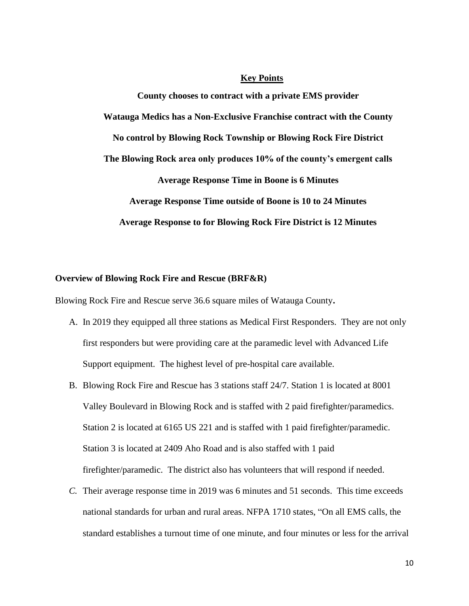**County chooses to contract with a private EMS provider Watauga Medics has a Non-Exclusive Franchise contract with the County No control by Blowing Rock Township or Blowing Rock Fire District The Blowing Rock area only produces 10% of the county's emergent calls Average Response Time in Boone is 6 Minutes Average Response Time outside of Boone is 10 to 24 Minutes Average Response to for Blowing Rock Fire District is 12 Minutes**

#### **Overview of Blowing Rock Fire and Rescue (BRF&R)**

Blowing Rock Fire and Rescue serve 36.6 square miles of Watauga County**.**

- A. In 2019 they equipped all three stations as Medical First Responders. They are not only first responders but were providing care at the paramedic level with Advanced Life Support equipment. The highest level of pre-hospital care available.
- B. Blowing Rock Fire and Rescue has 3 stations staff 24/7. Station 1 is located at 8001 Valley Boulevard in Blowing Rock and is staffed with 2 paid firefighter/paramedics. Station 2 is located at 6165 US 221 and is staffed with 1 paid firefighter/paramedic. Station 3 is located at 2409 Aho Road and is also staffed with 1 paid firefighter/paramedic. The district also has volunteers that will respond if needed.
- *C.* Their average response time in 2019 was 6 minutes and 51 seconds. This time exceeds national standards for urban and rural areas. NFPA 1710 states, "On all EMS calls, the standard establishes a turnout time of one minute, and four minutes or less for the arrival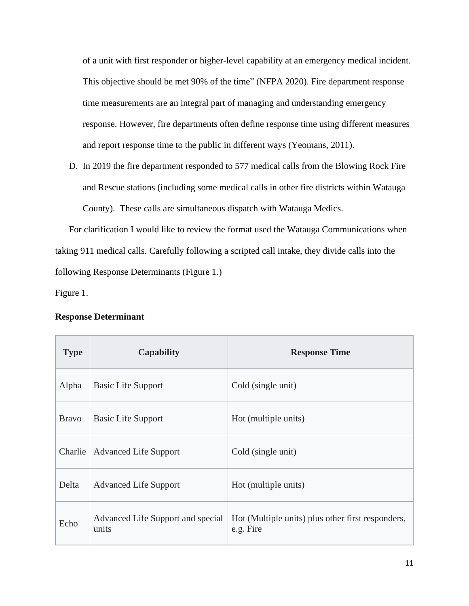of a unit with first responder or higher-level capability at an emergency medical incident. This objective should be met 90% of the time" (NFPA 2020). Fire department response time measurements are an integral part of managing and understanding emergency response. However, fire departments often define response time using different measures and report response time to the public in different ways (Yeomans, 2011).

D. In 2019 the fire department responded to 577 medical calls from the Blowing Rock Fire and Rescue stations (including some medical calls in other fire districts within Watauga County). These calls are simultaneous dispatch with Watauga Medics.

For clarification I would like to review the format used the Watauga Communications when taking 911 medical calls. Carefully following a scripted call intake, they divide calls into the following Response Determinants (Figure 1.)

Figure 1.

#### **Response Determinant**

| <b>Type</b>  | <b>Capability</b>                          | <b>Response Time</b>                                           |
|--------------|--------------------------------------------|----------------------------------------------------------------|
| Alpha        | <b>Basic Life Support</b>                  | Cold (single unit)                                             |
| <b>Bravo</b> | <b>Basic Life Support</b>                  | Hot (multiple units)                                           |
| Charlie      | <b>Advanced Life Support</b>               | Cold (single unit)                                             |
| Delta        | <b>Advanced Life Support</b>               | Hot (multiple units)                                           |
| Echo         | Advanced Life Support and special<br>units | Hot (Multiple units) plus other first responders,<br>e.g. Fire |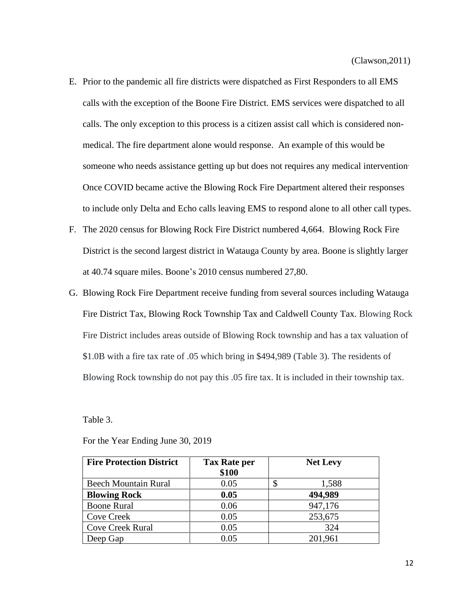- E. Prior to the pandemic all fire districts were dispatched as First Responders to all EMS calls with the exception of the Boone Fire District. EMS services were dispatched to all calls. The only exception to this process is a citizen assist call which is considered nonmedical. The fire department alone would response. An example of this would be someone who needs assistance getting up but does not requires any medical intervention. Once COVID became active the Blowing Rock Fire Department altered their responses to include only Delta and Echo calls leaving EMS to respond alone to all other call types.
- F. The 2020 census for Blowing Rock Fire District numbered 4,664. Blowing Rock Fire District is the second largest district in Watauga County by area. Boone is slightly larger at 40.74 square miles. Boone's 2010 census numbered 27,80.
- G. Blowing Rock Fire Department receive funding from several sources including Watauga Fire District Tax, Blowing Rock Township Tax and Caldwell County Tax. Blowing Rock Fire District includes areas outside of Blowing Rock township and has a tax valuation of \$1.0B with a fire tax rate of .05 which bring in \$494,989 (Table 3). The residents of Blowing Rock township do not pay this .05 fire tax. It is included in their township tax.

Table 3.

| <b>Fire Protection District</b> | <b>Tax Rate per</b><br>\$100 | <b>Net Levy</b> |
|---------------------------------|------------------------------|-----------------|
| <b>Beech Mountain Rural</b>     | 0.05                         | \$<br>1,588     |
| <b>Blowing Rock</b>             | 0.05                         | 494,989         |
| <b>Boone Rural</b>              | 0.06                         | 947,176         |
| <b>Cove Creek</b>               | 0.05                         | 253,675         |
| <b>Cove Creek Rural</b>         | 0.05                         | 324             |
| Deep Gap                        | 0.05                         | 201,961         |

For the Year Ending June 30, 2019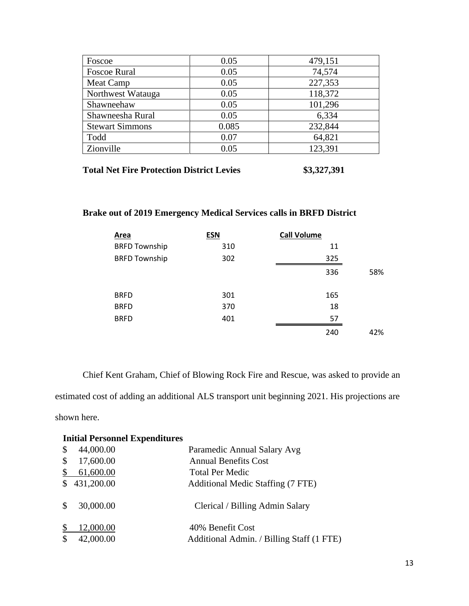| Foscoe                 | 0.05  | 479,151 |
|------------------------|-------|---------|
| <b>Foscoe Rural</b>    | 0.05  | 74,574  |
| Meat Camp              | 0.05  | 227,353 |
| Northwest Watauga      | 0.05  | 118,372 |
| Shawneehaw             | 0.05  | 101,296 |
| Shawneesha Rural       | 0.05  | 6,334   |
| <b>Stewart Simmons</b> | 0.085 | 232,844 |
| Todd                   | 0.07  | 64,821  |
| Zionville              | 0.05  | 123,391 |

| <b>Total Net Fire Protection District Levies</b> | \$3,327,391 |
|--------------------------------------------------|-------------|
|--------------------------------------------------|-------------|

## **Brake out of 2019 Emergency Medical Services calls in BRFD District**

| Area                 | <b>ESN</b> | <b>Call Volume</b> |
|----------------------|------------|--------------------|
| <b>BRFD Township</b> | 310        | 11                 |
| <b>BRFD Township</b> | 302        | 325                |
|                      |            | 336<br>58%         |
| <b>BRFD</b>          | 301        | 165                |
| <b>BRFD</b>          | 370        | 18                 |
| <b>BRFD</b>          | 401        | 57                 |
|                      |            | 240<br>42%         |

Chief Kent Graham, Chief of Blowing Rock Fire and Rescue, was asked to provide an estimated cost of adding an additional ALS transport unit beginning 2021. His projections are shown here.

## **Initial Personnel Expenditures**

| $\boldsymbol{\mathsf{S}}$ | 44,000.00  | Paramedic Annual Salary Avg               |
|---------------------------|------------|-------------------------------------------|
| \$                        | 17,600.00  | <b>Annual Benefits Cost</b>               |
| \$                        | 61,600.00  | <b>Total Per Medic</b>                    |
| <sup>\$</sup>             | 431,200.00 | Additional Medic Staffing (7 FTE)         |
| $\mathbb{S}$              | 30,000.00  | Clerical / Billing Admin Salary           |
|                           | 12,000.00  | 40% Benefit Cost                          |
| \$                        | 42,000.00  | Additional Admin. / Billing Staff (1 FTE) |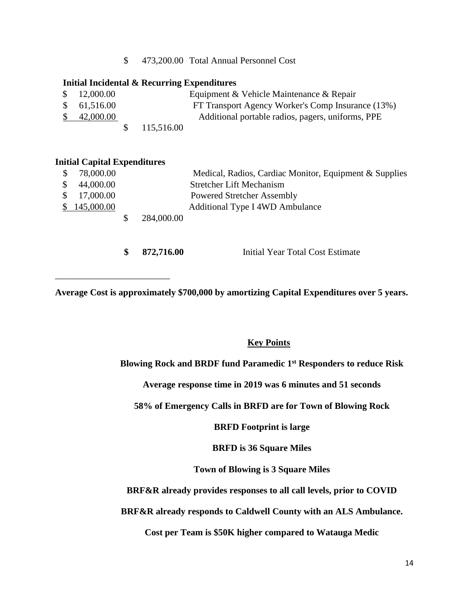\$ 473,200.00 Total Annual Personnel Cost

#### **Initial Incidental & Recurring Expenditures**

| \$12,000.00          |              | Equipment & Vehicle Maintenance & Repair          |
|----------------------|--------------|---------------------------------------------------|
| \$61,516.00          |              | FT Transport Agency Worker's Comp Insurance (13%) |
| $\frac{\$}{2000.00}$ |              | Additional portable radios, pagers, uniforms, PPE |
|                      | \$115,516.00 |                                                   |

#### **Initial Capital Expenditures**

\_\_\_\_\_\_\_\_\_\_\_\_\_\_\_\_\_\_\_\_\_\_\_\_\_

| $\mathcal{S}$ | 78,000.00    |            | Medical, Radios, Cardiac Monitor, Equipment & Supplies |
|---------------|--------------|------------|--------------------------------------------------------|
| <sup>S</sup>  | 44,000.00    |            | <b>Stretcher Lift Mechanism</b>                        |
|               | \$17,000.00  |            | <b>Powered Stretcher Assembly</b>                      |
|               | \$145,000.00 |            | Additional Type I 4WD Ambulance                        |
|               |              | 284,000.00 |                                                        |
|               |              |            |                                                        |

Initial Year Total Cost Estimate **\$ 872,716.00**

**Average Cost is approximately \$700,000 by amortizing Capital Expenditures over 5 years.**

## **Key Points**

**Blowing Rock and BRDF fund Paramedic 1st Responders to reduce Risk**

**Average response time in 2019 was 6 minutes and 51 seconds**

**58% of Emergency Calls in BRFD are for Town of Blowing Rock**

**BRFD Footprint is large**

**BRFD is 36 Square Miles**

**Town of Blowing is 3 Square Miles**

**BRF&R already provides responses to all call levels, prior to COVID**

**BRF&R already responds to Caldwell County with an ALS Ambulance.**

**Cost per Team is \$50K higher compared to Watauga Medic**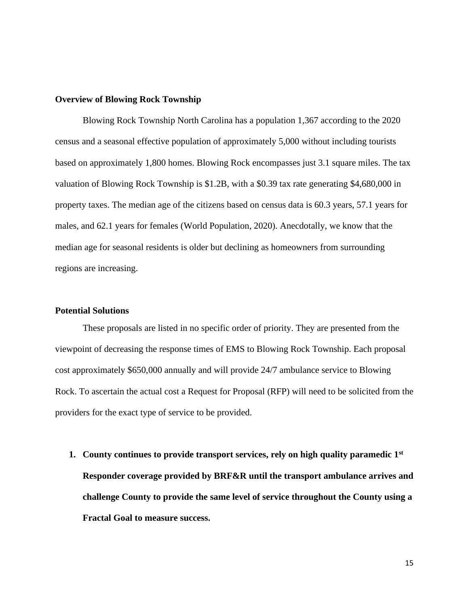#### **Overview of Blowing Rock Township**

Blowing Rock Township North Carolina has a population 1,367 according to the 2020 census and a seasonal effective population of approximately 5,000 without including tourists based on approximately 1,800 homes. Blowing Rock encompasses just 3.1 square miles. The tax valuation of Blowing Rock Township is \$1.2B, with a \$0.39 tax rate generating \$4,680,000 in property taxes. The median age of the citizens based on census data is 60.3 years, 57.1 years for males, and 62.1 years for females (World Population, 2020). Anecdotally, we know that the median age for seasonal residents is older but declining as homeowners from surrounding regions are increasing.

#### **Potential Solutions**

These proposals are listed in no specific order of priority. They are presented from the viewpoint of decreasing the response times of EMS to Blowing Rock Township. Each proposal cost approximately \$650,000 annually and will provide 24/7 ambulance service to Blowing Rock. To ascertain the actual cost a Request for Proposal (RFP) will need to be solicited from the providers for the exact type of service to be provided.

**1. County continues to provide transport services, rely on high quality paramedic 1st Responder coverage provided by BRF&R until the transport ambulance arrives and challenge County to provide the same level of service throughout the County using a Fractal Goal to measure success.**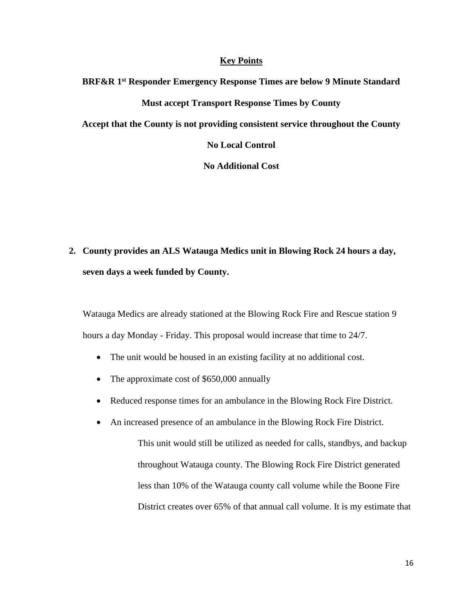**BRF&R 1 st Responder Emergency Response Times are below 9 Minute Standard Must accept Transport Response Times by County Accept that the County is not providing consistent service throughout the County**

**No Local Control**

**No Additional Cost**

**2. County provides an ALS Watauga Medics unit in Blowing Rock 24 hours a day, seven days a week funded by County.**

Watauga Medics are already stationed at the Blowing Rock Fire and Rescue station 9 hours a day Monday - Friday. This proposal would increase that time to 24/7.

- The unit would be housed in an existing facility at no additional cost.
- The approximate cost of \$650,000 annually
- Reduced response times for an ambulance in the Blowing Rock Fire District.
- An increased presence of an ambulance in the Blowing Rock Fire District.

This unit would still be utilized as needed for calls, standbys, and backup throughout Watauga county. The Blowing Rock Fire District generated less than 10% of the Watauga county call volume while the Boone Fire District creates over 65% of that annual call volume. It is my estimate that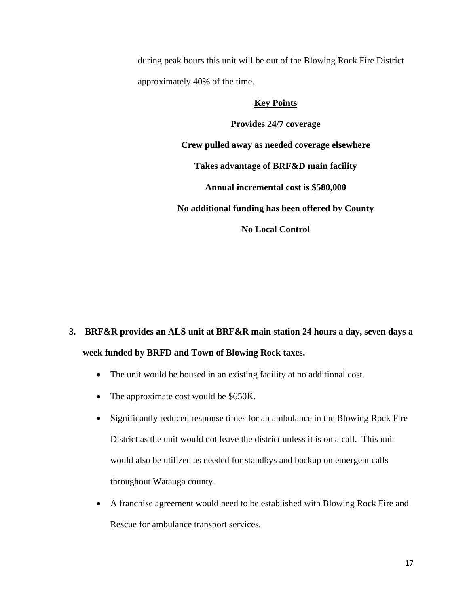during peak hours this unit will be out of the Blowing Rock Fire District approximately 40% of the time.

#### **Key Points**

**Provides 24/7 coverage Crew pulled away as needed coverage elsewhere Takes advantage of BRF&D main facility Annual incremental cost is \$580,000 No additional funding has been offered by County No Local Control**

# **3. BRF&R provides an ALS unit at BRF&R main station 24 hours a day, seven days a week funded by BRFD and Town of Blowing Rock taxes.**

- The unit would be housed in an existing facility at no additional cost.
- The approximate cost would be \$650K.
- Significantly reduced response times for an ambulance in the Blowing Rock Fire District as the unit would not leave the district unless it is on a call. This unit would also be utilized as needed for standbys and backup on emergent calls throughout Watauga county.
- A franchise agreement would need to be established with Blowing Rock Fire and Rescue for ambulance transport services.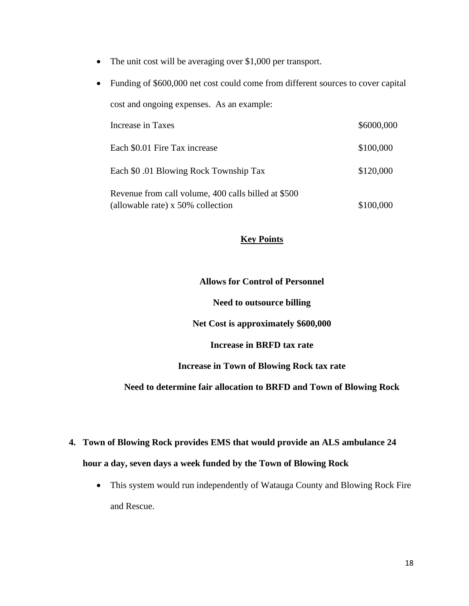- The unit cost will be averaging over \$1,000 per transport.
- Funding of \$600,000 net cost could come from different sources to cover capital cost and ongoing expenses. As an example: Increase in Taxes  $$6000,000$ Each \$0.01 Fire Tax increase \$100,000 Each \$0.01 Blowing Rock Township Tax \$120,000 Revenue from call volume, 400 calls billed at \$500 (allowable rate) x 50% collection \$100,000

#### **Allows for Control of Personnel**

**Need to outsource billing**

**Net Cost is approximately \$600,000**

**Increase in BRFD tax rate**

**Increase in Town of Blowing Rock tax rate**

### **Need to determine fair allocation to BRFD and Town of Blowing Rock**

- **4. Town of Blowing Rock provides EMS that would provide an ALS ambulance 24 hour a day, seven days a week funded by the Town of Blowing Rock** 
	- This system would run independently of Watauga County and Blowing Rock Fire and Rescue.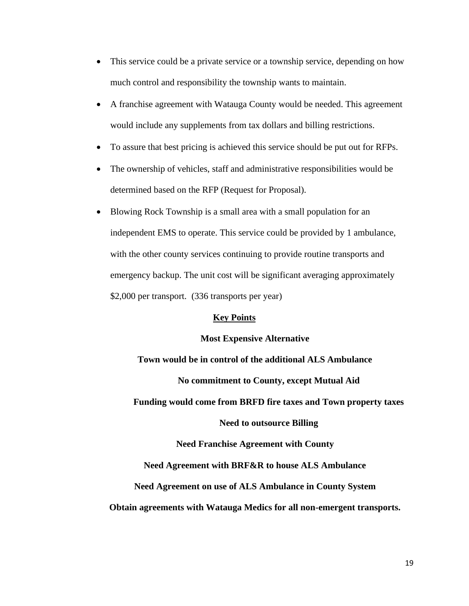- This service could be a private service or a township service, depending on how much control and responsibility the township wants to maintain.
- A franchise agreement with Watauga County would be needed. This agreement would include any supplements from tax dollars and billing restrictions.
- To assure that best pricing is achieved this service should be put out for RFPs.
- The ownership of vehicles, staff and administrative responsibilities would be determined based on the RFP (Request for Proposal).
- Blowing Rock Township is a small area with a small population for an independent EMS to operate. This service could be provided by 1 ambulance, with the other county services continuing to provide routine transports and emergency backup. The unit cost will be significant averaging approximately \$2,000 per transport. (336 transports per year)

#### **Most Expensive Alternative**

**Town would be in control of the additional ALS Ambulance No commitment to County, except Mutual Aid Funding would come from BRFD fire taxes and Town property taxes**

**Need to outsource Billing**

**Need Franchise Agreement with County**

**Need Agreement with BRF&R to house ALS Ambulance** 

#### **Need Agreement on use of ALS Ambulance in County System**

#### **Obtain agreements with Watauga Medics for all non-emergent transports.**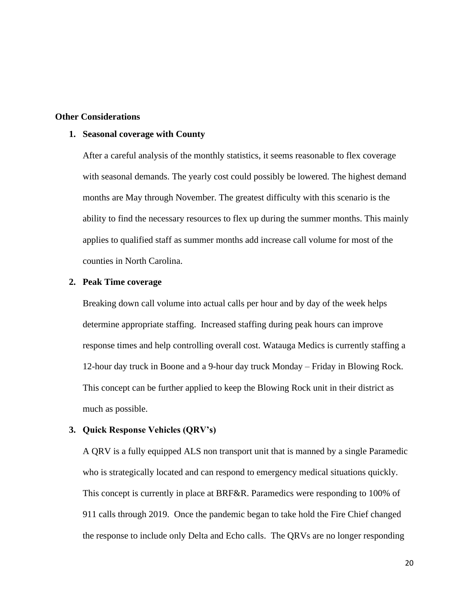#### **Other Considerations**

#### **1. Seasonal coverage with County**

After a careful analysis of the monthly statistics, it seems reasonable to flex coverage with seasonal demands. The yearly cost could possibly be lowered. The highest demand months are May through November. The greatest difficulty with this scenario is the ability to find the necessary resources to flex up during the summer months. This mainly applies to qualified staff as summer months add increase call volume for most of the counties in North Carolina.

#### **2. Peak Time coverage**

Breaking down call volume into actual calls per hour and by day of the week helps determine appropriate staffing. Increased staffing during peak hours can improve response times and help controlling overall cost. Watauga Medics is currently staffing a 12-hour day truck in Boone and a 9-hour day truck Monday – Friday in Blowing Rock. This concept can be further applied to keep the Blowing Rock unit in their district as much as possible.

#### **3. Quick Response Vehicles (QRV's)**

A QRV is a fully equipped ALS non transport unit that is manned by a single Paramedic who is strategically located and can respond to emergency medical situations quickly. This concept is currently in place at BRF&R. Paramedics were responding to 100% of 911 calls through 2019. Once the pandemic began to take hold the Fire Chief changed the response to include only Delta and Echo calls. The QRVs are no longer responding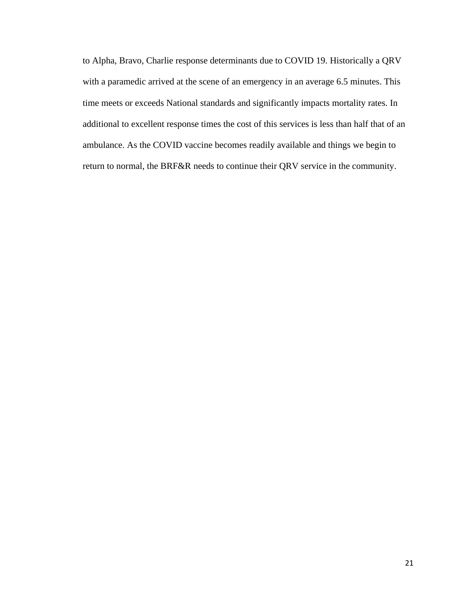to Alpha, Bravo, Charlie response determinants due to COVID 19. Historically a QRV with a paramedic arrived at the scene of an emergency in an average 6.5 minutes. This time meets or exceeds National standards and significantly impacts mortality rates. In additional to excellent response times the cost of this services is less than half that of an ambulance. As the COVID vaccine becomes readily available and things we begin to return to normal, the BRF&R needs to continue their QRV service in the community.